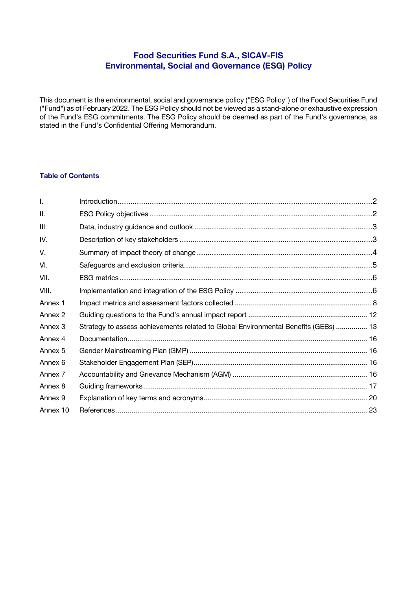# **Food Securities Fund S.A., SICAV-FIS Environmental, Social and Governance (ESG) Policy**

This document is the environmental, social and governance policy ("ESG Policy") of the Food Securities Fund ("Fund") as of February 2022. The ESG Policy should not be viewed as a stand-alone or exhaustive expression of the Fund's ESG commitments. The ESG Policy should be deemed as part of the Fund's governance, as stated in the Fund's Confidential Offering Memorandum.

## **Table of Contents**

| $\mathbf{L}$ |                                                                                     |  |
|--------------|-------------------------------------------------------------------------------------|--|
| Ш.           |                                                                                     |  |
| III.         |                                                                                     |  |
| IV.          |                                                                                     |  |
| V.           |                                                                                     |  |
| VI.          |                                                                                     |  |
| VII.         |                                                                                     |  |
| VIII.        |                                                                                     |  |
| Annex 1      |                                                                                     |  |
| Annex 2      |                                                                                     |  |
| Annex 3      | Strategy to assess achievements related to Global Environmental Benefits (GEBs)  13 |  |
| Annex 4      |                                                                                     |  |
| Annex 5      |                                                                                     |  |
| Annex 6      |                                                                                     |  |
| Annex 7      |                                                                                     |  |
| Annex 8      |                                                                                     |  |
| Annex 9      |                                                                                     |  |
| Annex 10     |                                                                                     |  |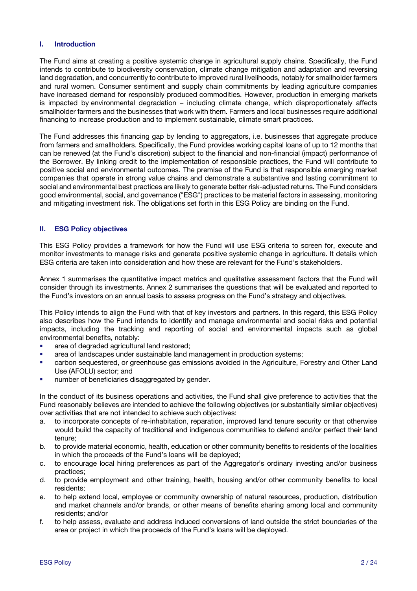## **I. Introduction**

The Fund aims at creating a positive systemic change in agricultural supply chains. Specifically, the Fund intends to contribute to biodiversity conservation, climate change mitigation and adaptation and reversing land degradation, and concurrently to contribute to improved rural livelihoods, notably for smallholder farmers and rural women. Consumer sentiment and supply chain commitments by leading agriculture companies have increased demand for responsibly produced commodities. However, production in emerging markets is impacted by environmental degradation – including climate change, which disproportionately affects smallholder farmers and the businesses that work with them. Farmers and local businesses require additional financing to increase production and to implement sustainable, climate smart practices.

The Fund addresses this financing gap by lending to aggregators, i.e. businesses that aggregate produce from farmers and smallholders. Specifically, the Fund provides working capital loans of up to 12 months that can be renewed (at the Fund's discretion) subject to the financial and non-financial (impact) performance of the Borrower. By linking credit to the implementation of responsible practices, the Fund will contribute to positive social and environmental outcomes. The premise of the Fund is that responsible emerging market companies that operate in strong value chains and demonstrate a substantive and lasting commitment to social and environmental best practices are likely to generate better risk-adjusted returns. The Fund considers good environmental, social, and governance ("ESG") practices to be material factors in assessing, monitoring and mitigating investment risk. The obligations set forth in this ESG Policy are binding on the Fund.

#### **II. ESG Policy objectives**

This ESG Policy provides a framework for how the Fund will use ESG criteria to screen for, execute and monitor investments to manage risks and generate positive systemic change in agriculture. It details which ESG criteria are taken into consideration and how these are relevant for the Fund's stakeholders.

Annex 1 summarises the quantitative impact metrics and qualitative assessment factors that the Fund will consider through its investments. Annex 2 summarises the questions that will be evaluated and reported to the Fund's investors on an annual basis to assess progress on the Fund's strategy and objectives.

This Policy intends to align the Fund with that of key investors and partners. In this regard, this ESG Policy also describes how the Fund intends to identify and manage environmental and social risks and potential impacts, including the tracking and reporting of social and environmental impacts such as global environmental benefits, notably:

- area of degraded agricultural land restored;
- area of landscapes under sustainable land management in production systems;
- carbon sequestered, or greenhouse gas emissions avoided in the Agriculture, Forestry and Other Land Use (AFOLU) sector; and
- **■** number of beneficiaries disaggregated by gender.

In the conduct of its business operations and activities, the Fund shall give preference to activities that the Fund reasonably believes are intended to achieve the following objectives (or substantially similar objectives) over activities that are not intended to achieve such objectives:

- a. to incorporate concepts of re-inhabitation, reparation, improved land tenure security or that otherwise would build the capacity of traditional and indigenous communities to defend and/or perfect their land tenure;
- b. to provide material economic, health, education or other community benefits to residents of the localities in which the proceeds of the Fund's loans will be deployed;
- c. to encourage local hiring preferences as part of the Aggregator's ordinary investing and/or business practices;
- d. to provide employment and other training, health, housing and/or other community benefits to local residents;
- e. to help extend local, employee or community ownership of natural resources, production, distribution and market channels and/or brands, or other means of benefits sharing among local and community residents; and/or
- f. to help assess, evaluate and address induced conversions of land outside the strict boundaries of the area or project in which the proceeds of the Fund's loans will be deployed.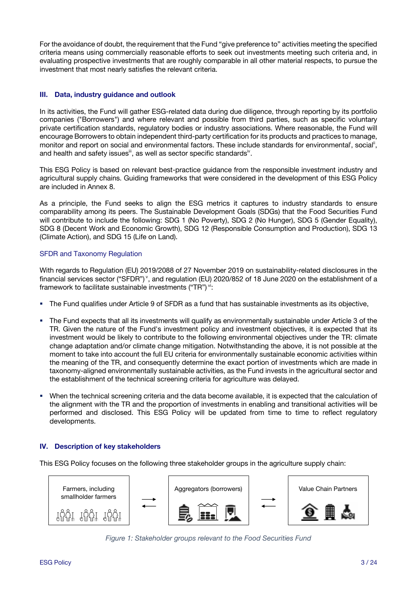For the avoidance of doubt, the requirement that the Fund "give preference to" activities meeting the specified criteria means using commercially reasonable efforts to seek out investments meeting such criteria and, in evaluating prospective investments that are roughly comparable in all other material respects, to pursue the investment that most nearly satisfies the relevant criteria.

## **III. Data, industry guidance and outlook**

In its activities, the Fund will gather ESG-related data during due diligence, through reporting by its portfolio companies ("Borrowers") and where relevant and possible from third parties, such as specific voluntary private certification standards, regulatory bodies or industry associations. Where reasonable, the Fund will encourage Borrowers to obtain independent third-party certification for its products and practices to manage, monitor and report on social and environmental factors. These include standards for environmental<sup>i</sup>, social<sup>ii</sup>, and health and safety issues<sup>iii</sup>, as well as sector specific standards<sup>iv</sup>.

This ESG Policy is based on relevant best-practice guidance from the responsible investment industry and agricultural supply chains. Guiding frameworks that were considered in the development of this ESG Policy are included in Annex 8.

As a principle, the Fund seeks to align the ESG metrics it captures to industry standards to ensure comparability among its peers. The Sustainable Development Goals (SDGs) that the Food Securities Fund will contribute to include the following: SDG 1 (No Poverty), SDG 2 (No Hunger), SDG 5 (Gender Equality), SDG 8 (Decent Work and Economic Growth), SDG 12 (Responsible Consumption and Production), SDG 13 (Climate Action), and SDG 15 (Life on Land).

## SFDR and Taxonomy Regulation

With regards to Regulation (EU) 2019/2088 of 27 November 2019 on sustainability-related disclosures in the financial services sector ("SFDR") v, and regulation (EU) 2020/852 of 18 June 2020 on the establishment of a framework to facilitate sustainable investments ("TR") vi:

- § The Fund qualifies under Article 9 of SFDR as a fund that has sustainable investments as its objective,
- § The Fund expects that all its investments will qualify as environmentally sustainable under Article 3 of the TR. Given the nature of the Fund's investment policy and investment objectives, it is expected that its investment would be likely to contribute to the following environmental objectives under the TR: climate change adaptation and/or climate change mitigation. Notwithstanding the above, it is not possible at the moment to take into account the full EU criteria for environmentally sustainable economic activities within the meaning of the TR, and consequently determine the exact portion of investments which are made in taxonomy-aligned environmentally sustainable activities, as the Fund invests in the agricultural sector and the establishment of the technical screening criteria for agriculture was delayed.
- § When the technical screening criteria and the data become available, it is expected that the calculation of the alignment with the TR and the proportion of investments in enabling and transitional activities will be performed and disclosed. This ESG Policy will be updated from time to time to reflect regulatory developments.

## **IV. Description of key stakeholders**

This ESG Policy focuses on the following three stakeholder groups in the agriculture supply chain:



*Figure 1: Stakeholder groups relevant to the Food Securities Fund*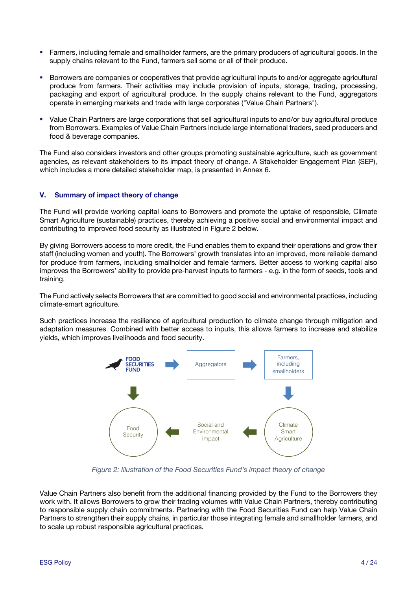- § Farmers, including female and smallholder farmers, are the primary producers of agricultural goods. In the supply chains relevant to the Fund, farmers sell some or all of their produce.
- § Borrowers are companies or cooperatives that provide agricultural inputs to and/or aggregate agricultural produce from farmers. Their activities may include provision of inputs, storage, trading, processing, packaging and export of agricultural produce. In the supply chains relevant to the Fund, aggregators operate in emerging markets and trade with large corporates ("Value Chain Partners").
- § Value Chain Partners are large corporations that sell agricultural inputs to and/or buy agricultural produce from Borrowers. Examples of Value Chain Partners include large international traders, seed producers and food & beverage companies.

The Fund also considers investors and other groups promoting sustainable agriculture, such as government agencies, as relevant stakeholders to its impact theory of change. A Stakeholder Engagement Plan (SEP), which includes a more detailed stakeholder map, is presented in Annex 6.

## **V. Summary of impact theory of change**

The Fund will provide working capital loans to Borrowers and promote the uptake of responsible, Climate Smart Agriculture (sustainable) practices, thereby achieving a positive social and environmental impact and contributing to improved food security as illustrated in Figure 2 below.

By g**i**ving Borrowers access to more credit, the Fund enables them to expand their operations and grow their staff (including women and youth). The Borrowers' growth translates into an improved, more reliable demand for produce from farmers, including smallholder and female farmers. Better access to working capital also improves the Borrowers' ability to provide pre-harvest inputs to farmers - e.g. in the form of seeds, tools and training.

The Fund actively selects Borrowers that are committed to good social and environmental practices, including climate-smart agriculture.

Such practices increase the resilience of agricultural production to climate change through mitigation and adaptation measures. Combined with better access to inputs, this allows farmers to increase and stabilize yields, which improves livelihoods and food security.



*Figure 2: Illustration of the Food Securities Fund's impact theory of change*

Value Chain Partners also benefit from the additional financing provided by the Fund to the Borrowers they work with. It allows Borrowers to grow their trading volumes with Value Chain Partners, thereby contributing to responsible supply chain commitments. Partnering with the Food Securities Fund can help Value Chain Partners to strengthen their supply chains, in particular those integrating female and smallholder farmers, and to scale up robust responsible agricultural practices.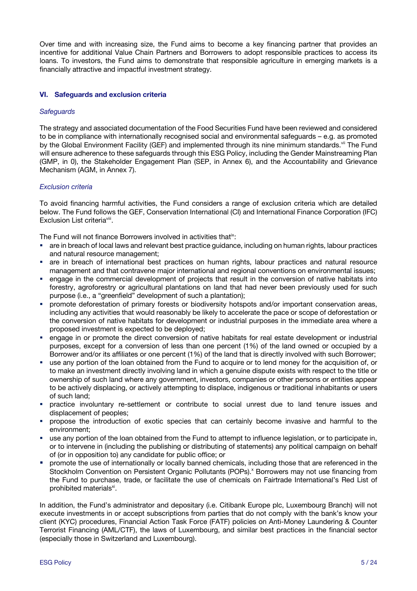Over time and with increasing size, the Fund aims to become a key financing partner that provides an incentive for additional Value Chain Partners and Borrowers to adopt responsible practices to access its loans. To investors, the Fund aims to demonstrate that responsible agriculture in emerging markets is a financially attractive and impactful investment strategy.

## **VI. Safeguards and exclusion criteria**

### *Safeguards*

The strategy and associated documentation of the Food Securities Fund have been reviewed and considered to be in compliance with internationally recognised social and environmental safeguards – e.g. as promoted by the Global Environment Facility (GEF) and implemented through its nine minimum standards.<sup>vii</sup> The Fund will ensure adherence to these safeguards through this ESG Policy, including the Gender Mainstreaming Plan (GMP, in 0), the Stakeholder Engagement Plan (SEP, in Annex 6), and the Accountability and Grievance Mechanism (AGM, in Annex 7).

## *Exclusion criteria*

To avoid financing harmful activities, the Fund considers a range of exclusion criteria which are detailed below. The Fund follows the GEF, Conservation International (CI) and International Finance Corporation (IFC) Exclusion List criteria<sup>viii</sup>.

The Fund will not finance Borrowers involved in activities that<sup>ix</sup>:

- are in breach of local laws and relevant best practice guidance, including on human rights, labour practices and natural resource management;
- are in breach of international best practices on human rights, labour practices and natural resource management and that contravene major international and regional conventions on environmental issues;
- engage in the commercial development of projects that result in the conversion of native habitats into forestry, agroforestry or agricultural plantations on land that had never been previously used for such purpose (i.e., a "greenfield" development of such a plantation);
- § promote deforestation of primary forests or biodiversity hotspots and/or important conservation areas, including any activities that would reasonably be likely to accelerate the pace or scope of deforestation or the conversion of native habitats for development or industrial purposes in the immediate area where a proposed investment is expected to be deployed;
- § engage in or promote the direct conversion of native habitats for real estate development or industrial purposes, except for a conversion of less than one percent (1%) of the land owned or occupied by a Borrower and/or its affiliates or one percent (1%) of the land that is directly involved with such Borrower;
- use any portion of the loan obtained from the Fund to acquire or to lend money for the acquisition of, or to make an investment directly involving land in which a genuine dispute exists with respect to the title or ownership of such land where any government, investors, companies or other persons or entities appear to be actively displacing, or actively attempting to displace, indigenous or traditional inhabitants or users of such land;
- § practice involuntary re-settlement or contribute to social unrest due to land tenure issues and displacement of peoples;
- § propose the introduction of exotic species that can certainly become invasive and harmful to the environment;
- § use any portion of the loan obtained from the Fund to attempt to influence legislation, or to participate in, or to intervene in (including the publishing or distributing of statements) any political campaign on behalf of (or in opposition to) any candidate for public office; or
- § promote the use of internationally or locally banned chemicals, including those that are referenced in the Stockholm Convention on Persistent Organic Pollutants (POPs).<sup>x</sup> Borrowers may not use financing from the Fund to purchase, trade, or facilitate the use of chemicals on Fairtrade International's Red List of prohibited materials<sup>xi</sup>.

In addition, the Fund's administrator and depositary (i.e. Citibank Europe plc, Luxembourg Branch) will not execute investments in or accept subscriptions from parties that do not comply with the bank's know your client (KYC) procedures, Financial Action Task Force (FATF) policies on Anti-Money Laundering & Counter Terrorist Financing (AML/CTF), the laws of Luxembourg, and similar best practices in the financial sector (especially those in Switzerland and Luxembourg).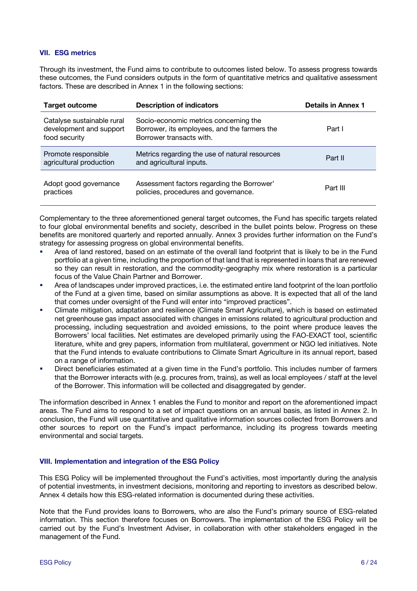## **VII. ESG metrics**

Through its investment, the Fund aims to contribute to outcomes listed below. To assess progress towards these outcomes, the Fund considers outputs in the form of quantitative metrics and qualitative assessment factors. These are described in Annex 1 in the following sections:

| <b>Target outcome</b>                                                  | <b>Description of indicators</b>                                                                                  | <b>Details in Annex 1</b> |
|------------------------------------------------------------------------|-------------------------------------------------------------------------------------------------------------------|---------------------------|
| Catalyse sustainable rural<br>development and support<br>food security | Socio-economic metrics concerning the<br>Borrower, its employees, and the farmers the<br>Borrower transacts with. | Part I                    |
| Promote responsible<br>agricultural production                         | Metrics regarding the use of natural resources<br>and agricultural inputs.                                        | Part II                   |
| Adopt good governance<br>practices                                     | Assessment factors regarding the Borrower'<br>policies, procedures and governance.                                | Part III                  |

Complementary to the three aforementioned general target outcomes, the Fund has specific targets related to four global environmental benefits and society, described in the bullet points below. Progress on these benefits are monitored quarterly and reported annually. Annex 3 provides further information on the Fund's strategy for assessing progress on global environmental benefits.

- § Area of land restored, based on an estimate of the overall land footprint that is likely to be in the Fund portfolio at a given time, including the proportion of that land that is represented in loans that are renewed so they can result in restoration, and the commodity-geography mix where restoration is a particular focus of the Value Chain Partner and Borrower.
- § Area of landscapes under improved practices, i.e. the estimated entire land footprint of the loan portfolio of the Fund at a given time, based on similar assumptions as above. It is expected that all of the land that comes under oversight of the Fund will enter into "improved practices".
- § Climate mitigation, adaptation and resilience (Climate Smart Agriculture), which is based on estimated net greenhouse gas impact associated with changes in emissions related to agricultural production and processing, including sequestration and avoided emissions, to the point where produce leaves the Borrowers' local facilities. Net estimates are developed primarily using the FAO-EXACT tool, scientific literature, white and grey papers, information from multilateral, government or NGO led initiatives. Note that the Fund intends to evaluate contributions to Climate Smart Agriculture in its annual report, based on a range of information.
- Direct beneficiaries estimated at a given time in the Fund's portfolio. This includes number of farmers that the Borrower interacts with (e.g. procures from, trains), as well as local employees / staff at the level of the Borrower. This information will be collected and disaggregated by gender.

The information described in Annex 1 enables the Fund to monitor and report on the aforementioned impact areas. The Fund aims to respond to a set of impact questions on an annual basis, as listed in Annex 2. In conclusion, the Fund will use quantitative and qualitative information sources collected from Borrowers and other sources to report on the Fund's impact performance, including its progress towards meeting environmental and social targets.

## **VIII. Implementation and integration of the ESG Policy**

This ESG Policy will be implemented throughout the Fund's activities, most importantly during the analysis of potential investments, in investment decisions, monitoring and reporting to investors as described below. Annex 4 details how this ESG-related information is documented during these activities.

Note that the Fund provides loans to Borrowers, who are also the Fund's primary source of ESG-related information. This section therefore focuses on Borrowers. The implementation of the ESG Policy will be carried out by the Fund's Investment Adviser, in collaboration with other stakeholders engaged in the management of the Fund.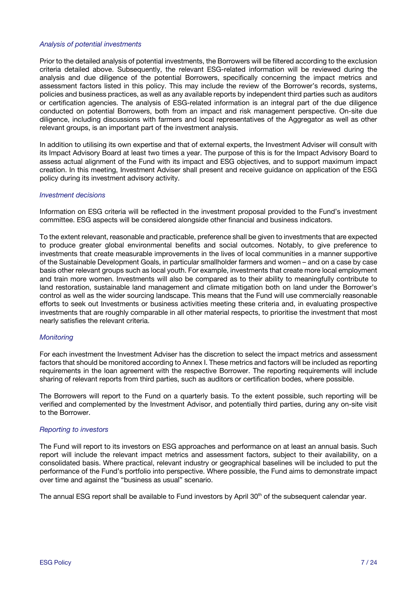#### *Analysis of potential investments*

Prior to the detailed analysis of potential investments, the Borrowers will be filtered according to the exclusion criteria detailed above. Subsequently, the relevant ESG-related information will be reviewed during the analysis and due diligence of the potential Borrowers, specifically concerning the impact metrics and assessment factors listed in this policy. This may include the review of the Borrower's records, systems, policies and business practices, as well as any available reports by independent third parties such as auditors or certification agencies. The analysis of ESG-related information is an integral part of the due diligence conducted on potential Borrowers, both from an impact and risk management perspective. On-site due diligence, including discussions with farmers and local representatives of the Aggregator as well as other relevant groups, is an important part of the investment analysis.

In addition to utilising its own expertise and that of external experts, the Investment Adviser will consult with its Impact Advisory Board at least two times a year. The purpose of this is for the Impact Advisory Board to assess actual alignment of the Fund with its impact and ESG objectives, and to support maximum impact creation. In this meeting, Investment Adviser shall present and receive guidance on application of the ESG policy during its investment advisory activity.

#### *Investment decisions*

Information on ESG criteria will be reflected in the investment proposal provided to the Fund's investment committee. ESG aspects will be considered alongside other financial and business indicators.

To the extent relevant, reasonable and practicable, preference shall be given to investments that are expected to produce greater global environmental benefits and social outcomes. Notably, to give preference to investments that create measurable improvements in the lives of local communities in a manner supportive of the Sustainable Development Goals, in particular smallholder farmers and women – and on a case by case basis other relevant groups such as local youth. For example, investments that create more local employment and train more women. Investments will also be compared as to their ability to meaningfully contribute to land restoration, sustainable land management and climate mitigation both on land under the Borrower's control as well as the wider sourcing landscape. This means that the Fund will use commercially reasonable efforts to seek out Investments or business activities meeting these criteria and, in evaluating prospective investments that are roughly comparable in all other material respects, to prioritise the investment that most nearly satisfies the relevant criteria.

#### *Monitoring*

For each investment the Investment Adviser has the discretion to select the impact metrics and assessment factors that should be monitored according to Annex I. These metrics and factors will be included as reporting requirements in the loan agreement with the respective Borrower. The reporting requirements will include sharing of relevant reports from third parties, such as auditors or certification bodes, where possible.

The Borrowers will report to the Fund on a quarterly basis. To the extent possible, such reporting will be verified and complemented by the Investment Advisor, and potentially third parties, during any on-site visit to the Borrower.

#### *Reporting to investors*

The Fund will report to its investors on ESG approaches and performance on at least an annual basis. Such report will include the relevant impact metrics and assessment factors, subject to their availability, on a consolidated basis. Where practical, relevant industry or geographical baselines will be included to put the performance of the Fund's portfolio into perspective. Where possible, the Fund aims to demonstrate impact over time and against the "business as usual" scenario.

The annual ESG report shall be available to Fund investors by April 30<sup>th</sup> of the subsequent calendar year.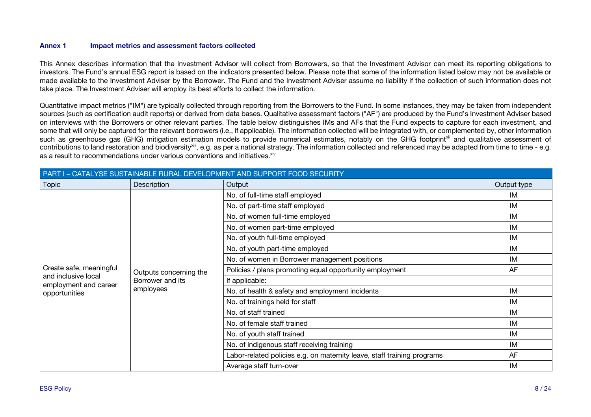#### **Annex 1 Impact metrics and assessment factors collected**

This Annex describes information that the Investment Advisor will collect from Borrowers, so that the Investment Advisor can meet its reporting obligations to investors. The Fund's annual ESG report is based on the indicators presented below. Please note that some of the information listed below may not be available or made available to the Investment Adviser by the Borrower. The Fund and the Investment Adviser assume no liability if the collection of such information does not take place. The Investment Adviser will employ its best efforts to collect the information.

Quantitative impact metrics ("IM") are typically collected through reporting from the Borrowers to the Fund. In some instances, they may be taken from independent sources (such as certification audit reports) or derived from data bases. Qualitative assessment factors ("AF") are produced by the Fund's Investment Adviser based on interviews with the Borrowers or other relevant parties. The table below distinguishes IMs and AFs that the Fund expects to capture for each investment, and some that will only be captured for the relevant borrowers (i.e., if applicable). The information collected will be integrated with, or complemented by, other information such as greenhouse gas (GHG) mitigation estimation models to provide numerical estimates, notably on the GHG footprint<sup>xii</sup> and qualitative assessment of contributions to land restoration and biodiversity<sup>xiii</sup>, e.g. as per a national strategy. The information collected and referenced may be adapted from time to time - e.g. as a result to recommendations under various conventions and initiatives.<sup>xiv</sup>

| PART I - CATALYSE SUSTAINABLE RURAL DEVELOPMENT AND SUPPORT FOOD SECURITY |                                                         |                                                                         |             |  |
|---------------------------------------------------------------------------|---------------------------------------------------------|-------------------------------------------------------------------------|-------------|--|
| Topic                                                                     | Description                                             | Output                                                                  | Output type |  |
|                                                                           |                                                         | No. of full-time staff employed                                         | IM          |  |
|                                                                           |                                                         | No. of part-time staff employed                                         | IM          |  |
|                                                                           |                                                         | No. of women full-time employed                                         | IM          |  |
|                                                                           |                                                         | No. of women part-time employed                                         | IM          |  |
|                                                                           |                                                         | No. of youth full-time employed                                         | IM          |  |
|                                                                           | Outputs concerning the<br>Borrower and its<br>employees | No. of youth part-time employed                                         | IM          |  |
|                                                                           |                                                         | No. of women in Borrower management positions                           | IM          |  |
| Create safe, meaningful                                                   |                                                         | Policies / plans promoting equal opportunity employment                 | AF          |  |
| and inclusive local<br>employment and career                              |                                                         | If applicable:                                                          |             |  |
| opportunities                                                             |                                                         | No. of health & safety and employment incidents                         | IM          |  |
|                                                                           |                                                         | No. of trainings held for staff                                         | IM          |  |
|                                                                           |                                                         | No. of staff trained                                                    | IM          |  |
|                                                                           |                                                         | No. of female staff trained                                             | IM          |  |
|                                                                           |                                                         | No. of youth staff trained                                              | IM          |  |
|                                                                           |                                                         | No. of indigenous staff receiving training                              | IM          |  |
|                                                                           |                                                         | Labor-related policies e.g. on maternity leave, staff training programs | AF          |  |
|                                                                           |                                                         | Average staff turn-over                                                 | IM          |  |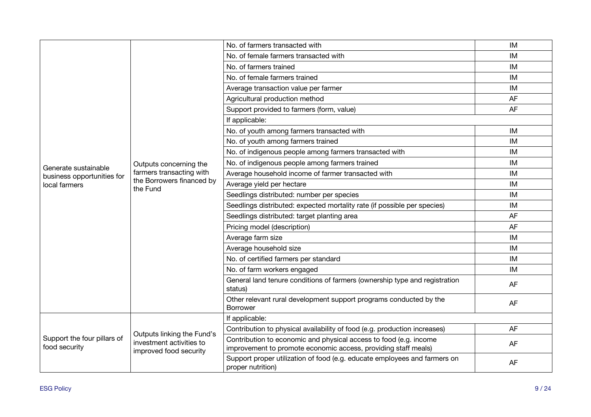|                                                    |                                                                                  | No. of farmers transacted with                                                                                                      | IM        |
|----------------------------------------------------|----------------------------------------------------------------------------------|-------------------------------------------------------------------------------------------------------------------------------------|-----------|
|                                                    |                                                                                  | No. of female farmers transacted with                                                                                               | IM        |
|                                                    |                                                                                  | No. of farmers trained                                                                                                              | IM        |
|                                                    |                                                                                  | No. of female farmers trained                                                                                                       | IM        |
|                                                    |                                                                                  | Average transaction value per farmer                                                                                                | IM        |
|                                                    |                                                                                  | Agricultural production method                                                                                                      | AF        |
|                                                    |                                                                                  | Support provided to farmers (form, value)                                                                                           | AF        |
|                                                    |                                                                                  | If applicable:                                                                                                                      |           |
|                                                    |                                                                                  | No. of youth among farmers transacted with                                                                                          | IM        |
|                                                    |                                                                                  | No. of youth among farmers trained                                                                                                  | <b>IM</b> |
|                                                    |                                                                                  | No. of indigenous people among farmers transacted with                                                                              | IM        |
|                                                    | Outputs concerning the                                                           | No. of indigenous people among farmers trained                                                                                      | IM        |
| Generate sustainable<br>business opportunities for | farmers transacting with                                                         | Average household income of farmer transacted with                                                                                  | IM        |
| local farmers                                      | the Borrowers financed by<br>the Fund                                            | Average yield per hectare                                                                                                           | IM        |
|                                                    |                                                                                  | Seedlings distributed: number per species                                                                                           | IM        |
|                                                    |                                                                                  | Seedlings distributed: expected mortality rate (if possible per species)                                                            | IM        |
|                                                    |                                                                                  | Seedlings distributed: target planting area                                                                                         | AF        |
|                                                    |                                                                                  | Pricing model (description)                                                                                                         | AF        |
|                                                    |                                                                                  | Average farm size                                                                                                                   | IM        |
|                                                    |                                                                                  | Average household size                                                                                                              | IM        |
|                                                    |                                                                                  | No. of certified farmers per standard                                                                                               | IM        |
|                                                    |                                                                                  | No. of farm workers engaged                                                                                                         | IM        |
|                                                    |                                                                                  | General land tenure conditions of farmers (ownership type and registration<br>status)                                               | AF        |
|                                                    |                                                                                  | Other relevant rural development support programs conducted by the<br><b>Borrower</b>                                               | AF        |
|                                                    |                                                                                  | If applicable:                                                                                                                      |           |
|                                                    | Outputs linking the Fund's<br>investment activities to<br>improved food security | Contribution to physical availability of food (e.g. production increases)                                                           | AF        |
| Support the four pillars of<br>food security       |                                                                                  | Contribution to economic and physical access to food (e.g. income<br>improvement to promote economic access, providing staff meals) | AF        |
|                                                    |                                                                                  | Support proper utilization of food (e.g. educate employees and farmers on<br>proper nutrition)                                      | AF        |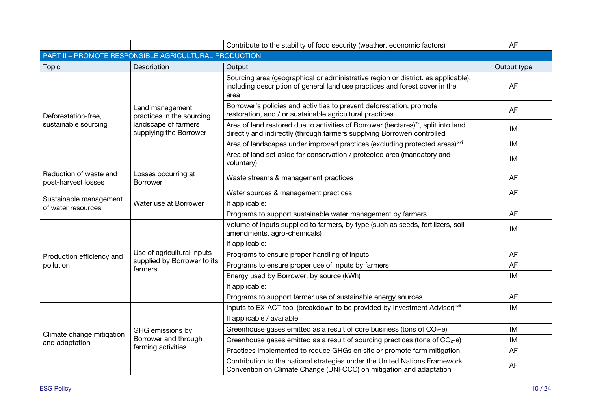|                                                       |                                                                                                | Contribute to the stability of food security (weather, economic factors)                                                                                                  | AF          |  |
|-------------------------------------------------------|------------------------------------------------------------------------------------------------|---------------------------------------------------------------------------------------------------------------------------------------------------------------------------|-------------|--|
| PART II - PROMOTE RESPONSIBLE AGRICULTURAL PRODUCTION |                                                                                                |                                                                                                                                                                           |             |  |
| <b>Topic</b>                                          | Description                                                                                    | Output                                                                                                                                                                    | Output type |  |
|                                                       |                                                                                                | Sourcing area (geographical or administrative region or district, as applicable),<br>including description of general land use practices and forest cover in the<br>area  | AF          |  |
| Deforestation-free,                                   | Land management<br>practices in the sourcing<br>landscape of farmers<br>supplying the Borrower | Borrower's policies and activities to prevent deforestation, promote<br>restoration, and / or sustainable agricultural practices                                          | AF          |  |
| sustainable sourcing                                  |                                                                                                | Area of land restored due to activities of Borrower (hectares) <sup>xv</sup> , split into land<br>directly and indirectly (through farmers supplying Borrower) controlled | IM          |  |
|                                                       |                                                                                                | Area of landscapes under improved practices (excluding protected areas) <sup>xvi</sup>                                                                                    | IM          |  |
|                                                       |                                                                                                | Area of land set aside for conservation / protected area (mandatory and<br>voluntary)                                                                                     | IM          |  |
| Reduction of waste and<br>post-harvest losses         | Losses occurring at<br>Waste streams & management practices<br><b>Borrower</b>                 |                                                                                                                                                                           | AF          |  |
|                                                       | Water use at Borrower                                                                          | Water sources & management practices                                                                                                                                      | <b>AF</b>   |  |
| Sustainable management<br>of water resources          |                                                                                                | If applicable:                                                                                                                                                            |             |  |
|                                                       |                                                                                                | Programs to support sustainable water management by farmers                                                                                                               | <b>AF</b>   |  |
|                                                       | Use of agricultural inputs<br>supplied by Borrower to its<br>farmers                           | Volume of inputs supplied to farmers, by type (such as seeds, fertilizers, soil<br>amendments, agro-chemicals)                                                            | IM          |  |
|                                                       |                                                                                                | If applicable:                                                                                                                                                            |             |  |
| Production efficiency and                             |                                                                                                | Programs to ensure proper handling of inputs                                                                                                                              | AF          |  |
| pollution                                             |                                                                                                | Programs to ensure proper use of inputs by farmers                                                                                                                        | AF          |  |
|                                                       |                                                                                                | Energy used by Borrower, by source (kWh)                                                                                                                                  | <b>IM</b>   |  |
|                                                       |                                                                                                | If applicable:                                                                                                                                                            |             |  |
|                                                       |                                                                                                | Programs to support farmer use of sustainable energy sources                                                                                                              | AF          |  |
|                                                       |                                                                                                | Inputs to EX-ACT tool (breakdown to be provided by Investment Adviser) <sup>xvii</sup>                                                                                    | IM          |  |
|                                                       | GHG emissions by<br>Borrower and through<br>farming activities                                 | If applicable / available:                                                                                                                                                |             |  |
| Climate change mitigation                             |                                                                                                | Greenhouse gases emitted as a result of core business (tons of CO <sub>2</sub> -e)                                                                                        | <b>IM</b>   |  |
| and adaptation                                        |                                                                                                | Greenhouse gases emitted as a result of sourcing practices (tons of $CO2 - e$ )                                                                                           | IM          |  |
|                                                       |                                                                                                | Practices implemented to reduce GHGs on site or promote farm mitigation                                                                                                   | AF          |  |
|                                                       |                                                                                                | Contribution to the national strategies under the United Nations Framework<br>Convention on Climate Change (UNFCCC) on mitigation and adaptation                          | <b>AF</b>   |  |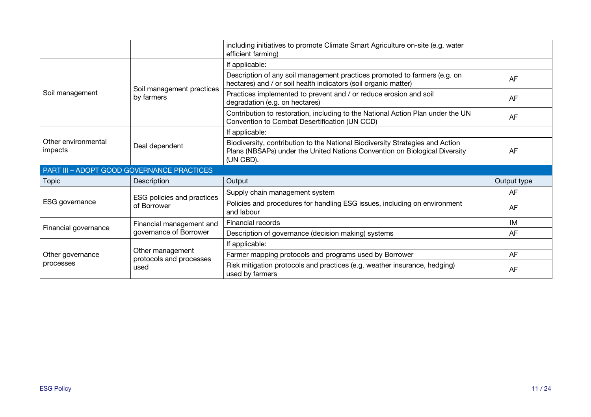|                                            |                                                     | including initiatives to promote Climate Smart Agriculture on-site (e.g. water<br>efficient farming)                                                                     |             |  |
|--------------------------------------------|-----------------------------------------------------|--------------------------------------------------------------------------------------------------------------------------------------------------------------------------|-------------|--|
|                                            |                                                     | If applicable:                                                                                                                                                           |             |  |
|                                            | Soil management practices<br>by farmers             | Description of any soil management practices promoted to farmers (e.g. on<br>hectares) and / or soil health indicators (soil organic matter)                             | AF          |  |
| Soil management                            |                                                     | Practices implemented to prevent and / or reduce erosion and soil<br>degradation (e.g. on hectares)                                                                      | AF          |  |
|                                            |                                                     | Contribution to restoration, including to the National Action Plan under the UN<br>Convention to Combat Desertification (UN CCD)                                         | AF          |  |
|                                            |                                                     | If applicable:                                                                                                                                                           |             |  |
| Other environmental<br>impacts             | Deal dependent                                      | Biodiversity, contribution to the National Biodiversity Strategies and Action<br>Plans (NBSAPs) under the United Nations Convention on Biological Diversity<br>(UN CBD). | AF          |  |
| PART III - ADOPT GOOD GOVERNANCE PRACTICES |                                                     |                                                                                                                                                                          |             |  |
| <b>Topic</b>                               | Description                                         | Output                                                                                                                                                                   | Output type |  |
|                                            | ESG policies and practices<br>of Borrower           | Supply chain management system                                                                                                                                           | AF          |  |
| ESG governance                             |                                                     | Policies and procedures for handling ESG issues, including on environment<br>and labour                                                                                  | AF          |  |
|                                            | Financial management and<br>governance of Borrower  | Financial records                                                                                                                                                        | IM          |  |
| Financial governance                       |                                                     | Description of governance (decision making) systems                                                                                                                      | AF          |  |
|                                            |                                                     | If applicable:                                                                                                                                                           |             |  |
| Other governance                           | Other management<br>protocols and processes<br>used | Farmer mapping protocols and programs used by Borrower                                                                                                                   | AF          |  |
| processes                                  |                                                     | Risk mitigation protocols and practices (e.g. weather insurance, hedging)<br>used by farmers                                                                             | AF          |  |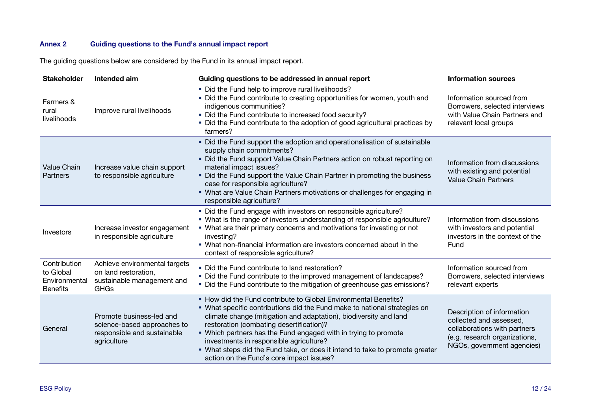# **Annex 2 Guiding questions to the Fund's annual impact report**

The guiding questions below are considered by the Fund in its annual impact report.

| <b>Stakeholder</b>                                            | Intended aim                                                                                          | Guiding questions to be addressed in annual report                                                                                                                                                                                                                                                                                                                                                                                                                                                      | <b>Information sources</b>                                                                                                                           |
|---------------------------------------------------------------|-------------------------------------------------------------------------------------------------------|---------------------------------------------------------------------------------------------------------------------------------------------------------------------------------------------------------------------------------------------------------------------------------------------------------------------------------------------------------------------------------------------------------------------------------------------------------------------------------------------------------|------------------------------------------------------------------------------------------------------------------------------------------------------|
| Farmers &<br>rural<br>livelihoods                             | Improve rural livelihoods                                                                             | . Did the Fund help to improve rural livelihoods?<br>. Did the Fund contribute to creating opportunities for women, youth and<br>indigenous communities?<br>. Did the Fund contribute to increased food security?<br>• Did the Fund contribute to the adoption of good agricultural practices by<br>farmers?                                                                                                                                                                                            | Information sourced from<br>Borrowers, selected interviews<br>with Value Chain Partners and<br>relevant local groups                                 |
| <b>Value Chain</b><br>Partners                                | Increase value chain support<br>to responsible agriculture                                            | • Did the Fund support the adoption and operationalisation of sustainable<br>supply chain commitments?<br>. Did the Fund support Value Chain Partners action on robust reporting on<br>material impact issues?<br>. Did the Fund support the Value Chain Partner in promoting the business<br>case for responsible agriculture?<br>• What are Value Chain Partners motivations or challenges for engaging in<br>responsible agriculture?                                                                | Information from discussions<br>with existing and potential<br><b>Value Chain Partners</b>                                                           |
| <b>Investors</b>                                              | Increase investor engagement<br>in responsible agriculture                                            | . Did the Fund engage with investors on responsible agriculture?<br>. What is the range of investors understanding of responsible agriculture?<br>. What are their primary concerns and motivations for investing or not<br>investing?<br>. What non-financial information are investors concerned about in the<br>context of responsible agriculture?                                                                                                                                                  | Information from discussions<br>with investors and potential<br>investors in the context of the<br>Fund                                              |
| Contribution<br>to Global<br>Environmental<br><b>Benefits</b> | Achieve environmental targets<br>on land restoration,<br>sustainable management and<br><b>GHGs</b>    | . Did the Fund contribute to land restoration?<br>. Did the Fund contribute to the improved management of landscapes?<br>. Did the Fund contribute to the mitigation of greenhouse gas emissions?                                                                                                                                                                                                                                                                                                       | Information sourced from<br>Borrowers, selected interviews<br>relevant experts                                                                       |
| General                                                       | Promote business-led and<br>science-based approaches to<br>responsible and sustainable<br>agriculture | • How did the Fund contribute to Global Environmental Benefits?<br>• What specific contributions did the Fund make to national strategies on<br>climate change (mitigation and adaptation), biodiversity and land<br>restoration (combating desertification)?<br>. Which partners has the Fund engaged with in trying to promote<br>investments in responsible agriculture?<br>. What steps did the Fund take, or does it intend to take to promote greater<br>action on the Fund's core impact issues? | Description of information<br>collected and assessed,<br>collaborations with partners<br>(e.g. research organizations,<br>NGOs, government agencies) |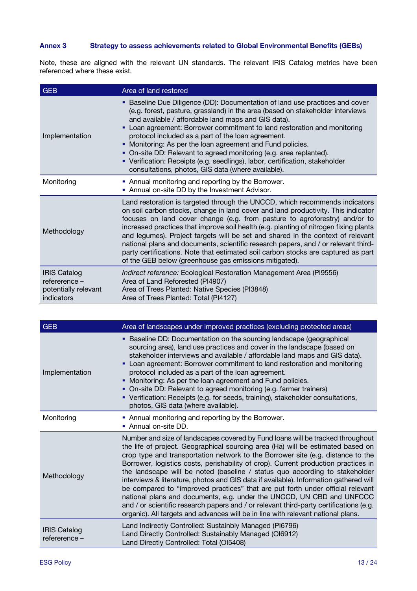## **Annex 3 Strategy to assess achievements related to Global Environmental Benefits (GEBs)**

Note, these are aligned with the relevant UN standards. The relevant IRIS Catalog metrics have been referenced where these exist.

| <b>GEB</b>                                                                 | Area of land restored                                                                                                                                                                                                                                                                                                                                                                                                                                                                                                                                                                                                                                           |
|----------------------------------------------------------------------------|-----------------------------------------------------------------------------------------------------------------------------------------------------------------------------------------------------------------------------------------------------------------------------------------------------------------------------------------------------------------------------------------------------------------------------------------------------------------------------------------------------------------------------------------------------------------------------------------------------------------------------------------------------------------|
| Implementation                                                             | • Baseline Due Diligence (DD): Documentation of land use practices and cover<br>(e.g. forest, pasture, grassland) in the area (based on stakeholder interviews<br>and available / affordable land maps and GIS data).<br>Loan agreement: Borrower commitment to land restoration and monitoring<br>٠<br>protocol included as a part of the loan agreement.<br>Monitoring: As per the loan agreement and Fund policies.<br>• On-site DD: Relevant to agreed monitoring (e.g. area replanted).<br>• Verification: Receipts (e.g. seedlings), labor, certification, stakeholder<br>consultations, photos, GIS data (where available).                              |
| Monitoring                                                                 | • Annual monitoring and reporting by the Borrower.<br>• Annual on-site DD by the Investment Advisor.                                                                                                                                                                                                                                                                                                                                                                                                                                                                                                                                                            |
| Methodology                                                                | Land restoration is targeted through the UNCCD, which recommends indicators<br>on soil carbon stocks, change in land cover and land productivity. This indicator<br>focuses on land cover change (e.g. from pasture to agroforestry) and/or to<br>increased practices that improve soil health (e.g. planting of nitrogen fixing plants<br>and legumes). Project targets will be set and shared in the context of relevant<br>national plans and documents, scientific research papers, and / or relevant third-<br>party certifications. Note that estimated soil carbon stocks are captured as part<br>of the GEB below (greenhouse gas emissions mitigated). |
| <b>IRIS Catalog</b><br>refererence -<br>potentially relevant<br>indicators | Indirect reference: Ecological Restoration Management Area (PI9556)<br>Area of Land Reforested (PI4907)<br>Area of Trees Planted: Native Species (PI3848)<br>Area of Trees Planted: Total (PI4127)                                                                                                                                                                                                                                                                                                                                                                                                                                                              |

| <b>GEB</b>                           | Area of landscapes under improved practices (excluding protected areas)                                                                                                                                                                                                                                                                                                                                                                                                                                                                                                                                                                                                                                                                                                                                                                                     |  |  |
|--------------------------------------|-------------------------------------------------------------------------------------------------------------------------------------------------------------------------------------------------------------------------------------------------------------------------------------------------------------------------------------------------------------------------------------------------------------------------------------------------------------------------------------------------------------------------------------------------------------------------------------------------------------------------------------------------------------------------------------------------------------------------------------------------------------------------------------------------------------------------------------------------------------|--|--|
| Implementation                       | Baseline DD: Documentation on the sourcing landscape (geographical<br>٠<br>sourcing area), land use practices and cover in the landscape (based on<br>stakeholder interviews and available / affordable land maps and GIS data).<br>Loan agreement: Borrower commitment to land restoration and monitoring<br>٠<br>protocol included as a part of the loan agreement.<br>Monitoring: As per the loan agreement and Fund policies.<br>٠<br>On-site DD: Relevant to agreed monitoring (e.g. farmer trainers)<br>٠<br>• Verification: Receipts (e.g. for seeds, training), stakeholder consultations,<br>photos, GIS data (where available).                                                                                                                                                                                                                   |  |  |
| Monitoring                           | • Annual monitoring and reporting by the Borrower.<br>• Annual on-site DD.                                                                                                                                                                                                                                                                                                                                                                                                                                                                                                                                                                                                                                                                                                                                                                                  |  |  |
| Methodology                          | Number and size of landscapes covered by Fund loans will be tracked throughout<br>the life of project. Geographical sourcing area (Ha) will be estimated based on<br>crop type and transportation network to the Borrower site (e.g. distance to the<br>Borrower, logistics costs, perishability of crop). Current production practices in<br>the landscape will be noted (baseline / status quo according to stakeholder<br>interviews & literature, photos and GIS data if available). Information gathered will<br>be compared to "improved practices" that are put forth under official relevant<br>national plans and documents, e.g. under the UNCCD, UN CBD and UNFCCC<br>and / or scientific research papers and / or relevant third-party certifications (e.g.<br>organic). All targets and advances will be in line with relevant national plans. |  |  |
| <b>IRIS Catalog</b><br>refererence - | Land Indirectly Controlled: Sustainbly Managed (PI6796)<br>Land Directly Controlled: Sustainably Managed (OI6912)<br>Land Directly Controlled: Total (OI5408)                                                                                                                                                                                                                                                                                                                                                                                                                                                                                                                                                                                                                                                                                               |  |  |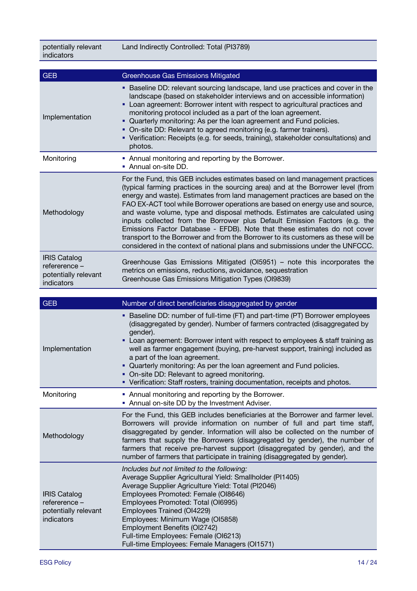potentially relevant indicators

| <b>GEB</b>                                                                 | <b>Greenhouse Gas Emissions Mitigated</b>                                                                                                                                                                                                                                                                                                                                                                                                                                                                                                                                                                                                                                                                                                         |
|----------------------------------------------------------------------------|---------------------------------------------------------------------------------------------------------------------------------------------------------------------------------------------------------------------------------------------------------------------------------------------------------------------------------------------------------------------------------------------------------------------------------------------------------------------------------------------------------------------------------------------------------------------------------------------------------------------------------------------------------------------------------------------------------------------------------------------------|
| Implementation                                                             | Baseline DD: relevant sourcing landscape, land use practices and cover in the<br>landscape (based on stakeholder interviews and on accessible information)<br>Loan agreement: Borrower intent with respect to agricultural practices and<br>٠<br>monitoring protocol included as a part of the loan agreement.<br>Quarterly monitoring: As per the loan agreement and Fund policies.<br>• On-site DD: Relevant to agreed monitoring (e.g. farmer trainers).<br>• Verification: Receipts (e.g. for seeds, training), stakeholder consultations) and<br>photos.                                                                                                                                                                                     |
| Monitoring                                                                 | • Annual monitoring and reporting by the Borrower.<br>Annual on-site DD.                                                                                                                                                                                                                                                                                                                                                                                                                                                                                                                                                                                                                                                                          |
| Methodology                                                                | For the Fund, this GEB includes estimates based on land management practices<br>(typical farming practices in the sourcing area) and at the Borrower level (from<br>energy and waste). Estimates from land management practices are based on the<br>FAO EX-ACT tool while Borrower operations are based on energy use and source,<br>and waste volume, type and disposal methods. Estimates are calculated using<br>inputs collected from the Borrower plus Default Emission Factors (e.g. the<br>Emissions Factor Database - EFDB). Note that these estimates do not cover<br>transport to the Borrower and from the Borrower to its customers as these will be<br>considered in the context of national plans and submissions under the UNFCCC. |
| <b>IRIS Catalog</b><br>refererence -<br>potentially relevant<br>indicators | Greenhouse Gas Emissions Mitigated (OI5951) – note this incorporates the<br>metrics on emissions, reductions, avoidance, sequestration<br>Greenhouse Gas Emissions Mitigation Types (OI9839)                                                                                                                                                                                                                                                                                                                                                                                                                                                                                                                                                      |

| <b>GEB</b>                                                                 | Number of direct beneficiaries disaggregated by gender                                                                                                                                                                                                                                                                                                                                                                                                                                                                                                                              |
|----------------------------------------------------------------------------|-------------------------------------------------------------------------------------------------------------------------------------------------------------------------------------------------------------------------------------------------------------------------------------------------------------------------------------------------------------------------------------------------------------------------------------------------------------------------------------------------------------------------------------------------------------------------------------|
| Implementation                                                             | Baseline DD: number of full-time (FT) and part-time (PT) Borrower employees<br>٠<br>(disaggregated by gender). Number of farmers contracted (disaggregated by<br>gender).<br>Loan agreement: Borrower intent with respect to employees & staff training as<br>well as farmer engagement (buying, pre-harvest support, training) included as<br>a part of the loan agreement.<br>• Quarterly monitoring: As per the loan agreement and Fund policies.<br>• On-site DD: Relevant to agreed monitoring.<br>• Verification: Staff rosters, training documentation, receipts and photos. |
| Monitoring                                                                 | • Annual monitoring and reporting by the Borrower.<br>• Annual on-site DD by the Investment Adviser.                                                                                                                                                                                                                                                                                                                                                                                                                                                                                |
| Methodology                                                                | For the Fund, this GEB includes beneficiaries at the Borrower and farmer level.<br>Borrowers will provide information on number of full and part time staff,<br>disaggregated by gender. Information will also be collected on the number of<br>farmers that supply the Borrowers (disaggregated by gender), the number of<br>farmers that receive pre-harvest support (disaggregated by gender), and the<br>number of farmers that participate in training (disaggregated by gender).                                                                                              |
| <b>IRIS Catalog</b><br>refererence -<br>potentially relevant<br>indicators | Includes but not limited to the following:<br>Average Supplier Agricultural Yield: Smallholder (PI1405)<br>Average Supplier Agriculture Yield: Total (PI2046)<br>Employees Promoted: Female (OI8646)<br>Employees Promoted: Total (OI6995)<br>Employees Trained (OI4229)<br>Employees: Minimum Wage (OI5858)<br>Employment Benefits (OI2742)<br>Full-time Employees: Female (OI6213)<br>Full-time Employees: Female Managers (OI1571)                                                                                                                                               |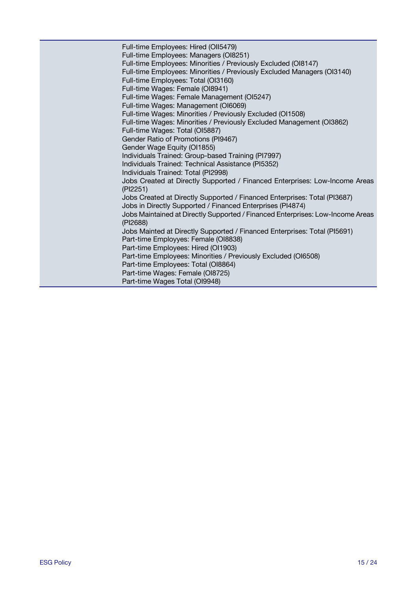Full-time Employees: Hired (OII5479) Full-time Employees: Managers (OI8251) Full-time Employees: Minorities / Previously Excluded (OI8147) Full-time Employees: Minorities / Previously Excluded Managers (OI3140) Full-time Employees: Total (OI3160) Full-time Wages: Female (OI8941) Full-time Wages: Female Management (OI5247) Full-time Wages: Management (OI6069) Full-time Wages: Minorities / Previously Excluded (OI1508) Full-time Wages: Minorities / Previously Excluded Management (OI3862) Full-time Wages: Total (OI5887) Gender Ratio of Promotions (PI9467) Gender Wage Equity (OI1855) Individuals Trained: Group-based Training (PI7997) Individuals Trained: Technical Assistance (PI5352) Individuals Trained: Total (PI2998) Jobs Created at Directly Supported / Financed Enterprises: Low-Income Areas (PI2251) Jobs Created at Directly Supported / Financed Enterprises: Total (PI3687) Jobs in Directly Supported / Financed Enterprises (PI4874) Jobs Maintained at Directly Supported / Financed Enterprises: Low-Income Areas (PI2688) Jobs Mainted at Directly Supported / Financed Enterprises: Total (PI5691) Part-time Employyes: Female (OI8838) Part-time Employees: Hired (OI1903) Part-time Employees: Minorities / Previously Excluded (OI6508) Part-time Employees: Total (OI8864) Part-time Wages: Female (OI8725) Part-time Wages Total (OI9948)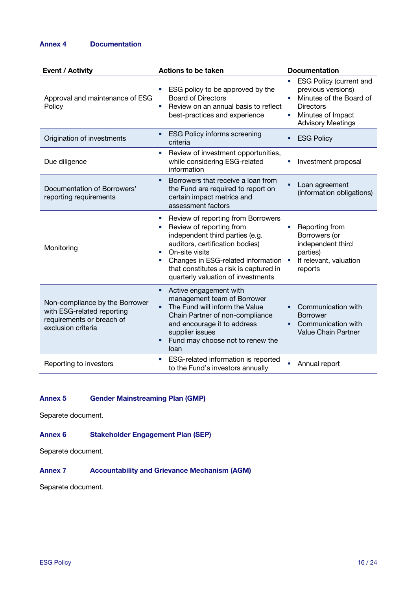## **Annex 4 Documentation**

| <b>Event / Activity</b>                                                                                         | <b>Actions to be taken</b>                                                                                                                                                                                                                                                   | <b>Documentation</b>                                                                                                                                      |  |
|-----------------------------------------------------------------------------------------------------------------|------------------------------------------------------------------------------------------------------------------------------------------------------------------------------------------------------------------------------------------------------------------------------|-----------------------------------------------------------------------------------------------------------------------------------------------------------|--|
| Approval and maintenance of ESG<br>Policy                                                                       | ESG policy to be approved by the<br><b>Board of Directors</b><br>Review on an annual basis to reflect<br>п<br>best-practices and experience                                                                                                                                  | <b>ESG Policy (current and</b><br>previous versions)<br>Minutes of the Board of<br><b>Directors</b><br>Minutes of Impact<br>п<br><b>Advisory Meetings</b> |  |
| Origination of investments                                                                                      | <b>ESG Policy informs screening</b><br>criteria                                                                                                                                                                                                                              | <b>ESG Policy</b><br>٠                                                                                                                                    |  |
| Due diligence                                                                                                   | Review of investment opportunities,<br>п<br>while considering ESG-related<br>information                                                                                                                                                                                     | Investment proposal<br>п                                                                                                                                  |  |
| Documentation of Borrowers'<br>reporting requirements                                                           | Borrowers that receive a loan from<br>٠<br>the Fund are required to report on<br>certain impact metrics and<br>assessment factors                                                                                                                                            | Loan agreement<br>(information obligations)                                                                                                               |  |
| Monitoring                                                                                                      | Review of reporting from Borrowers<br>Review of reporting from<br>independent third parties (e.g.<br>auditors, certification bodies)<br>On-site visits<br>Changes in ESG-related information<br>that constitutes a risk is captured in<br>quarterly valuation of investments | Reporting from<br>Borrowers (or<br>independent third<br>parties)<br>If relevant, valuation<br>reports                                                     |  |
| Non-compliance by the Borrower<br>with ESG-related reporting<br>requirements or breach of<br>exclusion criteria | Active engagement with<br>٠<br>management team of Borrower<br>The Fund will inform the Value<br>٠<br>Chain Partner of non-compliance<br>and encourage it to address<br>supplier issues<br>Fund may choose not to renew the<br>٠<br>loan                                      | Communication with<br>٠<br><b>Borrower</b><br>Communication with<br>Value Chain Partner                                                                   |  |
| Reporting to investors                                                                                          | ESG-related information is reported<br>×<br>to the Fund's investors annually                                                                                                                                                                                                 | Annual report                                                                                                                                             |  |

## **Annex 5 Gender Mainstreaming Plan (GMP)**

Separete document.

## **Annex 6 Stakeholder Engagement Plan (SEP)**

Separete document.

# **Annex 7 Accountability and Grievance Mechanism (AGM)**

Separete document.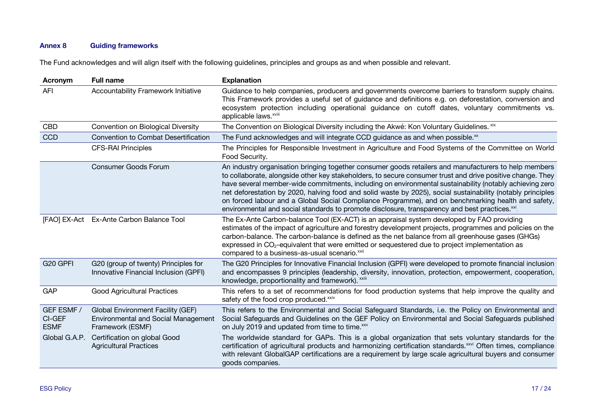## **Annex 8 Guiding frameworks**

The Fund acknowledges and will align itself with the following guidelines, principles and groups as and when possible and relevant.

| Acronym                             | <b>Full name</b>                                                                                    | <b>Explanation</b>                                                                                                                                                                                                                                                                                                                                                                                                                                                                                                                                                                                                                                               |
|-------------------------------------|-----------------------------------------------------------------------------------------------------|------------------------------------------------------------------------------------------------------------------------------------------------------------------------------------------------------------------------------------------------------------------------------------------------------------------------------------------------------------------------------------------------------------------------------------------------------------------------------------------------------------------------------------------------------------------------------------------------------------------------------------------------------------------|
| <b>AFI</b>                          | Accountability Framework Initiative                                                                 | Guidance to help companies, producers and governments overcome barriers to transform supply chains.<br>This Framework provides a useful set of guidance and definitions e.g. on deforestation, conversion and<br>ecosystem protection including operational guidance on cutoff dates, voluntary commitments vs.<br>applicable laws. <sup>xviii</sup>                                                                                                                                                                                                                                                                                                             |
| <b>CBD</b>                          | Convention on Biological Diversity                                                                  | The Convention on Biological Diversity including the Akwé: Kon Voluntary Guidelines. xix                                                                                                                                                                                                                                                                                                                                                                                                                                                                                                                                                                         |
| CCD                                 | <b>Convention to Combat Desertification</b>                                                         | The Fund acknowledges and will integrate CCD guidance as and when possible. <sup>xx</sup>                                                                                                                                                                                                                                                                                                                                                                                                                                                                                                                                                                        |
|                                     | <b>CFS-RAI Principles</b>                                                                           | The Principles for Responsible Investment in Agriculture and Food Systems of the Committee on World<br>Food Security.                                                                                                                                                                                                                                                                                                                                                                                                                                                                                                                                            |
|                                     | <b>Consumer Goods Forum</b>                                                                         | An industry organisation bringing together consumer goods retailers and manufacturers to help members<br>to collaborate, alongside other key stakeholders, to secure consumer trust and drive positive change. They<br>have several member-wide commitments, including on environmental sustainability (notably achieving zero<br>net deforestation by 2020, halving food and solid waste by 2025), social sustainability (notably principles<br>on forced labour and a Global Social Compliance Programme), and on benchmarking health and safety,<br>environmental and social standards to promote disclosure, transparency and best practices. <sup>xxi</sup> |
|                                     | [FAO] EX-Act Ex-Ante Carbon Balance Tool                                                            | The Ex-Ante Carbon-balance Tool (EX-ACT) is an appraisal system developed by FAO providing<br>estimates of the impact of agriculture and forestry development projects, programmes and policies on the<br>carbon-balance. The carbon-balance is defined as the net balance from all greenhouse gases (GHGs)<br>expressed in $CO2$ -equivalent that were emitted or sequestered due to project implementation as<br>compared to a business-as-usual scenario. <sup>xxii</sup>                                                                                                                                                                                     |
| G <sub>20</sub> GPFI                | G20 (group of twenty) Principles for<br>Innovative Financial Inclusion (GPFI)                       | The G20 Principles for Innovative Financial Inclusion (GPFI) were developed to promote financial inclusion<br>and encompasses 9 principles (leadership, diversity, innovation, protection, empowerment, cooperation,<br>knowledge, proportionality and framework). XXIII                                                                                                                                                                                                                                                                                                                                                                                         |
| GAP                                 | <b>Good Agricultural Practices</b>                                                                  | This refers to a set of recommendations for food production systems that help improve the quality and<br>safety of the food crop produced. <sup>xxiv</sup>                                                                                                                                                                                                                                                                                                                                                                                                                                                                                                       |
| GEF ESMF /<br>CI-GEF<br><b>ESMF</b> | Global Environment Facility (GEF)<br><b>Environmental and Social Management</b><br>Framework (ESMF) | This refers to the Environmental and Social Safeguard Standards, i.e. the Policy on Environmental and<br>Social Safeguards and Guidelines on the GEF Policy on Environmental and Social Safeguards published<br>on July 2019 and updated from time to time.xxv                                                                                                                                                                                                                                                                                                                                                                                                   |
| Global G.A.P.                       | Certification on global Good<br><b>Agricultural Practices</b>                                       | The worldwide standard for GAPs. This is a global organization that sets voluntary standards for the<br>certification of agricultural products and harmonizing certification standards. <sup>xxvi</sup> Often times, compliance<br>with relevant GlobalGAP certifications are a requirement by large scale agricultural buyers and consumer<br>goods companies.                                                                                                                                                                                                                                                                                                  |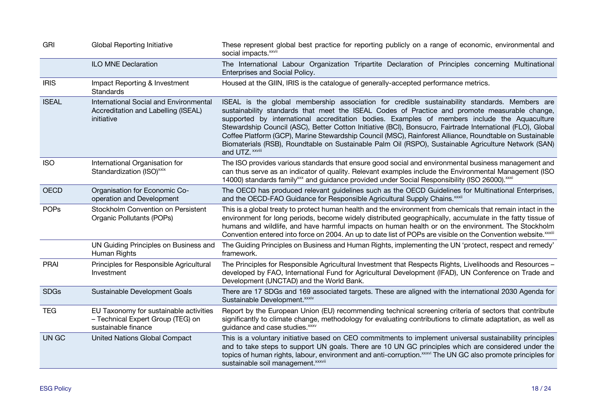| GRI          | <b>Global Reporting Initiative</b>                                                                 | These represent global best practice for reporting publicly on a range of economic, environmental and<br>social impacts. <sup>xxvii</sup>                                                                                                                                                                                                                                                                                                                                                                                                                                                                                                          |
|--------------|----------------------------------------------------------------------------------------------------|----------------------------------------------------------------------------------------------------------------------------------------------------------------------------------------------------------------------------------------------------------------------------------------------------------------------------------------------------------------------------------------------------------------------------------------------------------------------------------------------------------------------------------------------------------------------------------------------------------------------------------------------------|
|              | <b>ILO MNE Declaration</b>                                                                         | The International Labour Organization Tripartite Declaration of Principles concerning Multinational<br>Enterprises and Social Policy.                                                                                                                                                                                                                                                                                                                                                                                                                                                                                                              |
| <b>IRIS</b>  | Impact Reporting & Investment<br>Standards                                                         | Housed at the GIIN, IRIS is the catalogue of generally-accepted performance metrics.                                                                                                                                                                                                                                                                                                                                                                                                                                                                                                                                                               |
| <b>ISEAL</b> | International Social and Environmental<br>Accreditation and Labelling (ISEAL)<br>initiative        | ISEAL is the global membership association for credible sustainability standards. Members are<br>sustainability standards that meet the ISEAL Codes of Practice and promote measurable change,<br>supported by international accreditation bodies. Examples of members include the Aquaculture<br>Stewardship Council (ASC), Better Cotton Initiative (BCI), Bonsucro, Fairtrade International (FLO), Global<br>Coffee Platform (GCP), Marine Stewardship Council (MSC), Rainforest Alliance, Roundtable on Sustainable<br>Biomaterials (RSB), Roundtable on Sustainable Palm Oil (RSPO), Sustainable Agriculture Network (SAN)<br>and UTZ. xxviii |
| <b>ISO</b>   | International Organisation for<br>Standardization (ISO) <sup>xxix</sup>                            | The ISO provides various standards that ensure good social and environmental business management and<br>can thus serve as an indicator of quality. Relevant examples include the Environmental Management (ISO<br>14000) standards family <sup>xxx</sup> and guidance provided under Social Responsibility (ISO 26000). <sup>xxxi</sup>                                                                                                                                                                                                                                                                                                            |
| <b>OECD</b>  | Organisation for Economic Co-<br>operation and Development                                         | The OECD has produced relevant guidelines such as the OECD Guidelines for Multinational Enterprises,<br>and the OECD-FAO Guidance for Responsible Agricultural Supply Chains. XXXII                                                                                                                                                                                                                                                                                                                                                                                                                                                                |
| <b>POPs</b>  | Stockholm Convention on Persistent<br>Organic Pollutants (POPs)                                    | This is a global treaty to protect human health and the environment from chemicals that remain intact in the<br>environment for long periods, become widely distributed geographically, accumulate in the fatty tissue of<br>humans and wildlife, and have harmful impacts on human health or on the environment. The Stockholm<br>Convention entered into force on 2004. An up to date list of POPs are visible on the Convention website. XXXIII                                                                                                                                                                                                 |
|              | UN Guiding Principles on Business and<br>Human Rights                                              | The Guiding Principles on Business and Human Rights, implementing the UN 'protect, respect and remedy'<br>framework.                                                                                                                                                                                                                                                                                                                                                                                                                                                                                                                               |
| <b>PRAI</b>  | Principles for Responsible Agricultural<br>Investment                                              | The Principles for Responsible Agricultural Investment that Respects Rights, Livelihoods and Resources -<br>developed by FAO, International Fund for Agricultural Development (IFAD), UN Conference on Trade and<br>Development (UNCTAD) and the World Bank.                                                                                                                                                                                                                                                                                                                                                                                       |
| <b>SDGs</b>  | Sustainable Development Goals                                                                      | There are 17 SDGs and 169 associated targets. These are aligned with the international 2030 Agenda for<br>Sustainable Development. xxxiv                                                                                                                                                                                                                                                                                                                                                                                                                                                                                                           |
| <b>TEG</b>   | EU Taxonomy for sustainable activities<br>- Technical Expert Group (TEG) on<br>sustainable finance | Report by the European Union (EU) recommending technical screening criteria of sectors that contribute<br>significantly to climate change, methodology for evaluating contributions to climate adaptation, as well as<br>guidance and case studies. xxxv                                                                                                                                                                                                                                                                                                                                                                                           |
| UN GC        | <b>United Nations Global Compact</b>                                                               | This is a voluntary initiative based on CEO commitments to implement universal sustainability principles<br>and to take steps to support UN goals. There are 10 UN GC principles which are considered under the<br>topics of human rights, labour, environment and anti-corruption. XXXVi The UN GC also promote principles for<br>sustainable soil management. xxxvii                                                                                                                                                                                                                                                                             |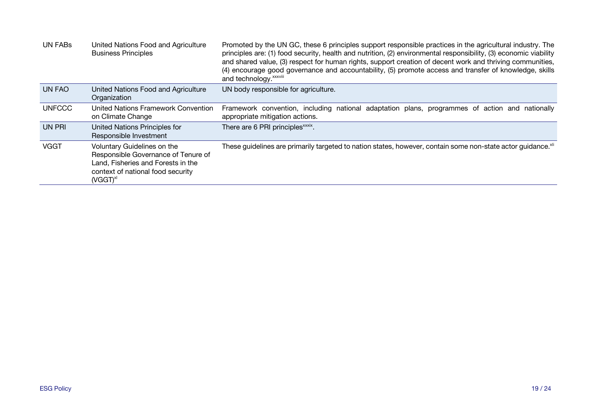| <b>UN FABS</b> | United Nations Food and Agriculture<br><b>Business Principles</b>                                                                                                     | Promoted by the UN GC, these 6 principles support responsible practices in the agricultural industry. The<br>principles are: (1) food security, health and nutrition, (2) environmental responsibility, (3) economic viability<br>and shared value, (3) respect for human rights, support creation of decent work and thriving communities,<br>(4) encourage good governance and accountability, (5) promote access and transfer of knowledge, skills<br>and technology. <i>xxxviii</i> |
|----------------|-----------------------------------------------------------------------------------------------------------------------------------------------------------------------|-----------------------------------------------------------------------------------------------------------------------------------------------------------------------------------------------------------------------------------------------------------------------------------------------------------------------------------------------------------------------------------------------------------------------------------------------------------------------------------------|
| <b>UN FAO</b>  | United Nations Food and Agriculture<br>Organization                                                                                                                   | UN body responsible for agriculture.                                                                                                                                                                                                                                                                                                                                                                                                                                                    |
| <b>UNFCCC</b>  | United Nations Framework Convention<br>on Climate Change                                                                                                              | Framework convention, including national adaptation plans, programmes of action and nationally<br>appropriate mitigation actions.                                                                                                                                                                                                                                                                                                                                                       |
| UN PRI         | United Nations Principles for<br>Responsible Investment                                                                                                               | There are 6 PRI principles <sup>xxxix</sup> .                                                                                                                                                                                                                                                                                                                                                                                                                                           |
| <b>VGGT</b>    | Voluntary Guidelines on the<br>Responsible Governance of Tenure of<br>Land, Fisheries and Forests in the<br>context of national food security<br>(VGGT) <sup>xl</sup> | These guidelines are primarily targeted to nation states, however, contain some non-state actor guidance. XII                                                                                                                                                                                                                                                                                                                                                                           |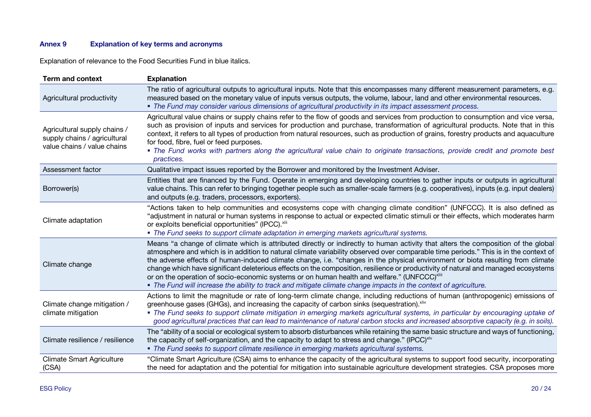# **Annex 9 Explanation of key terms and acronyms**

Explanation of relevance to the Food Securities Fund in blue italics.

| <b>Term and context</b>                                                                     | <b>Explanation</b>                                                                                                                                                                                                                                                                                                                                                                                                                                                                                                                                                                                                                                                                                                                                                                |
|---------------------------------------------------------------------------------------------|-----------------------------------------------------------------------------------------------------------------------------------------------------------------------------------------------------------------------------------------------------------------------------------------------------------------------------------------------------------------------------------------------------------------------------------------------------------------------------------------------------------------------------------------------------------------------------------------------------------------------------------------------------------------------------------------------------------------------------------------------------------------------------------|
| Agricultural productivity                                                                   | The ratio of agricultural outputs to agricultural inputs. Note that this encompasses many different measurement parameters, e.g.<br>measured based on the monetary value of inputs versus outputs, the volume, labour, land and other environmental resources.<br>• The Fund may consider various dimensions of agricultural productivity in its impact assessment process.                                                                                                                                                                                                                                                                                                                                                                                                       |
| Agricultural supply chains /<br>supply chains / agricultural<br>value chains / value chains | Agricultural value chains or supply chains refer to the flow of goods and services from production to consumption and vice versa,<br>such as provision of inputs and services for production and purchase, transformation of agricultural products. Note that in this<br>context, it refers to all types of production from natural resources, such as production of grains, forestry products and aquaculture<br>for food, fibre, fuel or feed purposes.<br>• The Fund works with partners along the agricultural value chain to originate transactions, provide credit and promote best<br>practices.                                                                                                                                                                           |
| Assessment factor                                                                           | Qualitative impact issues reported by the Borrower and monitored by the Investment Adviser.                                                                                                                                                                                                                                                                                                                                                                                                                                                                                                                                                                                                                                                                                       |
| Borrower(s)                                                                                 | Entities that are financed by the Fund. Operate in emerging and developing countries to gather inputs or outputs in agricultural<br>value chains. This can refer to bringing together people such as smaller-scale farmers (e.g. cooperatives), inputs (e.g. input dealers)<br>and outputs (e.g. traders, processors, exporters).                                                                                                                                                                                                                                                                                                                                                                                                                                                 |
| Climate adaptation                                                                          | "Actions taken to help communities and ecosystems cope with changing climate condition" (UNFCCC). It is also defined as<br>"adjustment in natural or human systems in response to actual or expected climatic stimuli or their effects, which moderates harm<br>or exploits beneficial opportunities" (IPCC). xlii<br>• The Fund seeks to support climate adaptation in emerging markets agricultural systems.                                                                                                                                                                                                                                                                                                                                                                    |
| Climate change                                                                              | Means "a change of climate which is attributed directly or indirectly to human activity that alters the composition of the global<br>atmosphere and which is in addition to natural climate variability observed over comparable time periods." This is in the context of<br>the adverse effects of human-induced climate change, i.e. "changes in the physical environment or biota resulting from climate<br>change which have significant deleterious effects on the composition, resilience or productivity of natural and managed ecosystems<br>or on the operation of socio-economic systems or on human health and welfare." (UNFCCC) <sup>xliii</sup><br>. The Fund will increase the ability to track and mitigate climate change impacts in the context of agriculture. |
| Climate change mitigation /<br>climate mitigation                                           | Actions to limit the magnitude or rate of long-term climate change, including reductions of human (anthropogenic) emissions of<br>greenhouse gases (GHGs), and increasing the capacity of carbon sinks (sequestration). Xilv<br>• The Fund seeks to support climate mitigation in emerging markets agricultural systems, in particular by encouraging uptake of<br>good agricultural practices that can lead to maintenance of natural carbon stocks and increased absorptive capacity (e.g. in soils).                                                                                                                                                                                                                                                                           |
| Climate resilience / resilience                                                             | The "ability of a social or ecological system to absorb disturbances while retaining the same basic structure and ways of functioning,<br>the capacity of self-organization, and the capacity to adapt to stress and change." (IPCC) <sup>xlv</sup><br>• The Fund seeks to support climate resilience in emerging markets agricultural systems.                                                                                                                                                                                                                                                                                                                                                                                                                                   |
| <b>Climate Smart Agriculture</b><br>(CSA)                                                   | "Climate Smart Agriculture (CSA) aims to enhance the capacity of the agricultural systems to support food security, incorporating<br>the need for adaptation and the potential for mitigation into sustainable agriculture development strategies. CSA proposes more                                                                                                                                                                                                                                                                                                                                                                                                                                                                                                              |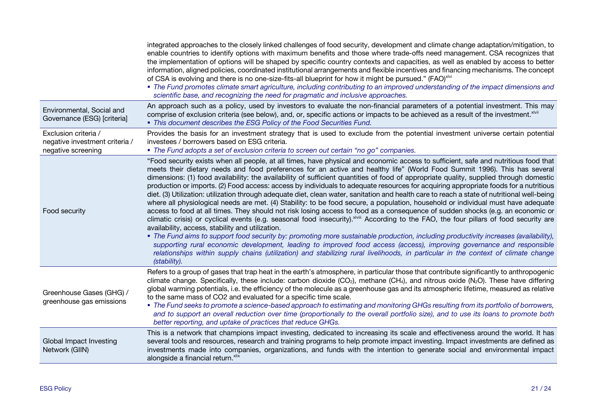|                                                                              | integrated approaches to the closely linked challenges of food security, development and climate change adaptation/mitigation, to<br>enable countries to identify options with maximum benefits and those where trade-offs need management. CSA recognizes that<br>the implementation of options will be shaped by specific country contexts and capacities, as well as enabled by access to better<br>information, aligned policies, coordinated institutional arrangements and flexible incentives and financing mechanisms. The concept<br>of CSA is evolving and there is no one-size-fits-all blueprint for how it might be pursued." (FAO) <sup>xlvi</sup><br>• The Fund promotes climate smart agriculture, including contributing to an improved understanding of the impact dimensions and<br>scientific base, and recognizing the need for pragmatic and inclusive approaches.                                                                                                                                                                                                                                                                                                                                                                                                                                                                                                                                                                                                                                                                                                        |
|------------------------------------------------------------------------------|-------------------------------------------------------------------------------------------------------------------------------------------------------------------------------------------------------------------------------------------------------------------------------------------------------------------------------------------------------------------------------------------------------------------------------------------------------------------------------------------------------------------------------------------------------------------------------------------------------------------------------------------------------------------------------------------------------------------------------------------------------------------------------------------------------------------------------------------------------------------------------------------------------------------------------------------------------------------------------------------------------------------------------------------------------------------------------------------------------------------------------------------------------------------------------------------------------------------------------------------------------------------------------------------------------------------------------------------------------------------------------------------------------------------------------------------------------------------------------------------------------------------------------------------------------------------------------------------------|
| Environmental, Social and<br>Governance (ESG) [criteria]                     | An approach such as a policy, used by investors to evaluate the non-financial parameters of a potential investment. This may<br>comprise of exclusion criteria (see below), and, or, specific actions or impacts to be achieved as a result of the investment. XIVII<br>• This document describes the ESG Policy of the Food Securities Fund.                                                                                                                                                                                                                                                                                                                                                                                                                                                                                                                                                                                                                                                                                                                                                                                                                                                                                                                                                                                                                                                                                                                                                                                                                                                   |
| Exclusion criteria /<br>negative investment criteria /<br>negative screening | Provides the basis for an investment strategy that is used to exclude from the potential investment universe certain potential<br>investees / borrowers based on ESG criteria.<br>• The Fund adopts a set of exclusion criteria to screen out certain "no go" companies.                                                                                                                                                                                                                                                                                                                                                                                                                                                                                                                                                                                                                                                                                                                                                                                                                                                                                                                                                                                                                                                                                                                                                                                                                                                                                                                        |
| Food security                                                                | "Food security exists when all people, at all times, have physical and economic access to sufficient, safe and nutritious food that<br>meets their dietary needs and food preferences for an active and healthy life" (World Food Summit 1996). This has several<br>dimensions: (1) food availability: the availability of sufficient quantities of food of appropriate quality, supplied through domestic<br>production or imports. (2) Food access: access by individuals to adequate resources for acquiring appropriate foods for a nutritious<br>diet. (3) Utilization: utilization through adequate diet, clean water, sanitation and health care to reach a state of nutritional well-being<br>where all physiological needs are met. (4) Stability: to be food secure, a population, household or individual must have adequate<br>access to food at all times. They should not risk losing access to food as a consequence of sudden shocks (e.g. an economic or<br>climatic crisis) or cyclical events (e.g. seasonal food insecurity). XIVIII According to the FAO, the four pillars of food security are<br>availability, access, stability and utilization.<br>• The Fund aims to support food security by: promoting more sustainable production, including productivity increases (availability),<br>supporting rural economic development, leading to improved food access (access), improving governance and responsible<br>relationships within supply chains (utilization) and stabilizing rural livelihoods, in particular in the context of climate change<br>(stability). |
| Greenhouse Gases (GHG) /<br>greenhouse gas emissions                         | Refers to a group of gases that trap heat in the earth's atmosphere, in particular those that contribute significantly to anthropogenic<br>climate change. Specifically, these include: carbon dioxide (CO <sub>2</sub> ), methane (CH <sub>4</sub> ), and nitrous oxide (N <sub>2</sub> O). These have differing<br>global warming potentials, i.e. the efficiency of the molecule as a greenhouse gas and its atmospheric lifetime, measured as relative<br>to the same mass of CO2 and evaluated for a specific time scale.<br>• The Fund seeks to promote a science-based approach to estimating and monitoring GHGs resulting from its portfolio of borrowers,<br>and to support an overall reduction over time (proportionally to the overall portfolio size), and to use its loans to promote both<br>better reporting, and uptake of practices that reduce GHGs.                                                                                                                                                                                                                                                                                                                                                                                                                                                                                                                                                                                                                                                                                                                        |
| Global Impact Investing<br>Network (GIIN)                                    | This is a network that champions impact investing, dedicated to increasing its scale and effectiveness around the world. It has<br>several tools and resources, research and training programs to help promote impact investing. Impact investments are defined as<br>investments made into companies, organizations, and funds with the intention to generate social and environmental impact<br>alongside a financial return. xlix                                                                                                                                                                                                                                                                                                                                                                                                                                                                                                                                                                                                                                                                                                                                                                                                                                                                                                                                                                                                                                                                                                                                                            |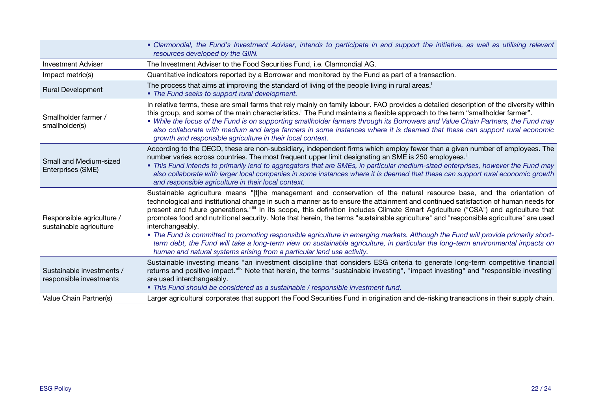|                                                      | • Clarmondial, the Fund's Investment Adviser, intends to participate in and support the initiative, as well as utilising relevant<br>resources developed by the GIIN.                                                                                                                                                                                                                                                                                                                                                                                                                                                                                                                                                                                                                                                                                                                                        |
|------------------------------------------------------|--------------------------------------------------------------------------------------------------------------------------------------------------------------------------------------------------------------------------------------------------------------------------------------------------------------------------------------------------------------------------------------------------------------------------------------------------------------------------------------------------------------------------------------------------------------------------------------------------------------------------------------------------------------------------------------------------------------------------------------------------------------------------------------------------------------------------------------------------------------------------------------------------------------|
| <b>Investment Adviser</b>                            | The Investment Adviser to the Food Securities Fund, i.e. Clarmondial AG.                                                                                                                                                                                                                                                                                                                                                                                                                                                                                                                                                                                                                                                                                                                                                                                                                                     |
| Impact metric(s)                                     | Quantitative indicators reported by a Borrower and monitored by the Fund as part of a transaction.                                                                                                                                                                                                                                                                                                                                                                                                                                                                                                                                                                                                                                                                                                                                                                                                           |
| <b>Rural Development</b>                             | The process that aims at improving the standard of living of the people living in rural areas. <sup>1</sup><br>• The Fund seeks to support rural development.                                                                                                                                                                                                                                                                                                                                                                                                                                                                                                                                                                                                                                                                                                                                                |
| Smallholder farmer /<br>smallholder(s)               | In relative terms, these are small farms that rely mainly on family labour. FAO provides a detailed description of the diversity within<br>this group, and some of the main characteristics." The Fund maintains a flexible approach to the term "smallholder farmer".<br>• While the focus of the Fund is on supporting smallholder farmers through its Borrowers and Value Chain Partners, the Fund may<br>also collaborate with medium and large farmers in some instances where it is deemed that these can support rural economic<br>growth and responsible agriculture in their local context.                                                                                                                                                                                                                                                                                                         |
| Small and Medium-sized<br>Enterprises (SME)          | According to the OECD, these are non-subsidiary, independent firms which employ fewer than a given number of employees. The<br>number varies across countries. The most frequent upper limit designating an SME is 250 employees. <sup>iii</sup><br>• This Fund intends to primarily lend to aggregators that are SMEs, in particular medium-sized enterprises, however the Fund may<br>also collaborate with larger local companies in some instances where it is deemed that these can support rural economic growth<br>and responsible agriculture in their local context.                                                                                                                                                                                                                                                                                                                                |
| Responsible agriculture /<br>sustainable agriculture | Sustainable agriculture means "[t]he management and conservation of the natural resource base, and the orientation of<br>technological and institutional change in such a manner as to ensure the attainment and continued satisfaction of human needs for<br>present and future generations.""" In its scope, this definition includes Climate Smart Agriculture ("CSA") and agriculture that<br>promotes food and nutritional security. Note that herein, the terms "sustainable agriculture" and "responsible agriculture" are used<br>interchangeably.<br>. The Fund is committed to promoting responsible agriculture in emerging markets. Although the Fund will provide primarily short-<br>term debt, the Fund will take a long-term view on sustainable agriculture, in particular the long-term environmental impacts on<br>human and natural systems arising from a particular land use activity. |
| Sustainable investments /<br>responsible investments | Sustainable investing means "an investment discipline that considers ESG criteria to generate long-term competitive financial<br>returns and positive impact." <sup>Ifv</sup> Note that herein, the terms "sustainable investing", "impact investing" and "responsible investing"<br>are used interchangeably.<br>• This Fund should be considered as a sustainable / responsible investment fund.                                                                                                                                                                                                                                                                                                                                                                                                                                                                                                           |
| Value Chain Partner(s)                               | Larger agricultural corporates that support the Food Securities Fund in origination and de-risking transactions in their supply chain.                                                                                                                                                                                                                                                                                                                                                                                                                                                                                                                                                                                                                                                                                                                                                                       |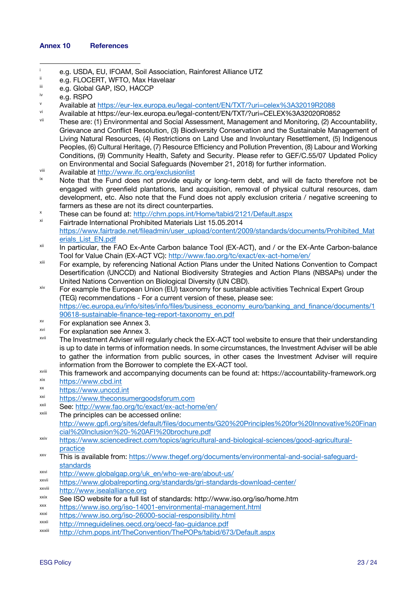#### **Annex 10 References**

- i e.g. USDA, EU, IFOAM, Soil Association, Rainforest Alliance UTZ<br>  $\frac{1}{2}$  e.g. ELOCERT, WETO, Max Havelaar
- ii e.g. FLOCERT, WFTO, Max Havelaar
- iii e.g. Global GAP, ISO, HACCP

- v Available at https://eur-lex.europa.eu/legal-content/EN/TXT/?uri=celex%3A32019R2088
- vi Available at https://eur-lex.europa.eu/legal-content/EN/TXT/?uri=CELEX%3A32020R0852
- These are: (1) Environmental and Social Assessment, Management and Monitoring, (2) Accountability, Grievance and Conflict Resolution, (3) Biodiversity Conservation and the Sustainable Management of Living Natural Resources, (4) Restrictions on Land Use and Involuntary Resettlement, (5) Indigenous Peoples, (6) Cultural Heritage, (7) Resource Efficiency and Pollution Prevention, (8) Labour and Working Conditions, (9) Community Health, Safety and Security. Please refer to GEF/C.55/07 Updated Policy on Environmental and Social Safeguards (November 21, 2018) for further information.<br>Available at http://www.ifc.org/exclusionlist<br>Note that the Eund does not provide equity or long-term debt, and will de facto t
- 
- Note that the Fund does not provide equity or long-term debt, and will de facto therefore not be engaged with greenfield plantations, land acquisition, removal of physical cultural resources, dam development, etc. Also note that the Fund does not apply exclusion criteria / negative screening to farmers as these are not its direct counterparties.
- x These can be found at: http://chm.pops.int/Home/tabid/2121/Default.aspx<br>Feither de International Drabibited Materials List 15.05.0014
- Fairtrade International Prohibited Materials List 15.05.2014 https://www.fairtrade.net/fileadmin/user\_upload/content/2009/standards/documents/Prohibited\_Mat erials\_List\_EN.pdf
- xii In particular, the FAO Ex-Ante Carbon balance Tool (EX-ACT), and / or the EX-Ante Carbon-balance Tool for Value Chain (EX-ACT VC): http://www.fao.org/tc/exact/ex-act-home/en/
- <sup>xiii</sup> For example, by referencing National Action Plans under the United Nations Convention to Compact Desertification (UNCCD) and National Biodiversity Strategies and Action Plans (NBSAPs) under the United Nations Convention on Biological Diversity (UN CBD).
- $x<sup>ix</sup>$  For example the European Union (EU) taxonomy for sustainable activities Technical Expert Group (TEG) recommendations - For a current version of these, please see: https://ec.europa.eu/info/sites/info/files/business\_economy\_euro/banking\_and\_finance/documents/1 90618-sustainable-finance-teg-report-taxonomy\_en.pdf
- xv For explanation see Annex 3.
- $x<sup>xi</sup>$  For explanation see Annex 3.
- <sup>xvii</sup> The Investment Adviser will regularly check the EX-ACT tool website to ensure that their understanding is up to date in terms of information needs. In some circumstances, the Investment Adviser will be able to gather the information from public sources, in other cases the Investment Adviser will require information from the Borrower to complete the EX-ACT tool.<br>This framework and accompanying documents can be found at: https://accountability-framework.org
- 
- xix https://www.cbd.int
- $x^2$  https://www.unccd.int
- $xxi$  https://www.theconsumergoodsforum.com
- xxii See: http://www.fao.org/tc/exact/ex-act-home/en/
- The principles can be accessed online: http://www.gpfi.org/sites/default/files/documents/G20%20Principles%20for%20Innovative%20Finan cial%20Inclusion%20-%20AFI%20brochure.pdf
- xxiv https://www.sciencedirect.com/topics/agricultural-and-biological-sciences/good-agriculturalpractice
- xxv This is available from: https://www.thegef.org/documents/environmental-and-social-safeguardstandards
- xxvi http://www.globalgap.org/uk\_en/who-we-are/about-us/
- xxvii https://www.globalreporting.org/standards/gri-standards-download-center/<br>xxvii http://www.jooglolliance.org
- http://www.isealalliance.org

- xxx https://www.iso.org/iso-14001-environmental-management.html
- https://www.iso.org/iso-26000-social-responsibility.html
- xxxii http://mneguidelines.oecd.org/oecd-fao-guidance.pdf
- xxxiii http://chm.pops.int/TheConvention/ThePOPs/tabid/673/Default.aspx

e.g. RSPO

xxix See ISO website for a full list of standards: http://www.iso.org/iso/home.htm